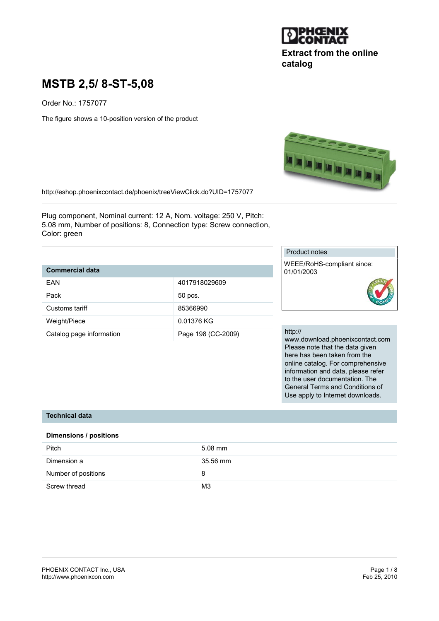

# **Extract from the online catalog**

# **MSTB 2,5/ 8-ST-5,08**

Order No.: 1757077

The figure shows a 10-position version of the product



http://eshop.phoenixcontact.de/phoenix/treeViewClick.do?UID=1757077

Plug component, Nominal current: 12 A, Nom. voltage: 250 V, Pitch: 5.08 mm, Number of positions: 8, Connection type: Screw connection, Color: green

# **Commercial data**

| FAN                      | 4017918029609      |
|--------------------------|--------------------|
| Pack                     | 50 pcs.            |
| Customs tariff           | 85366990           |
| Weight/Piece             | 0.01376 KG         |
| Catalog page information | Page 198 (CC-2009) |

#### Product notes

WEEE/RoHS-compliant since: 01/01/2003



#### http://

www.download.phoenixcontact.com Please note that the data given here has been taken from the online catalog. For comprehensive information and data, please refer to the user documentation. The General Terms and Conditions of Use apply to Internet downloads.

## **Technical data**

#### **Dimensions / positions**

| <b>Pitch</b>        | 5.08 mm        |
|---------------------|----------------|
| Dimension a         | 35.56 mm       |
| Number of positions | 8              |
| Screw thread        | M <sub>3</sub> |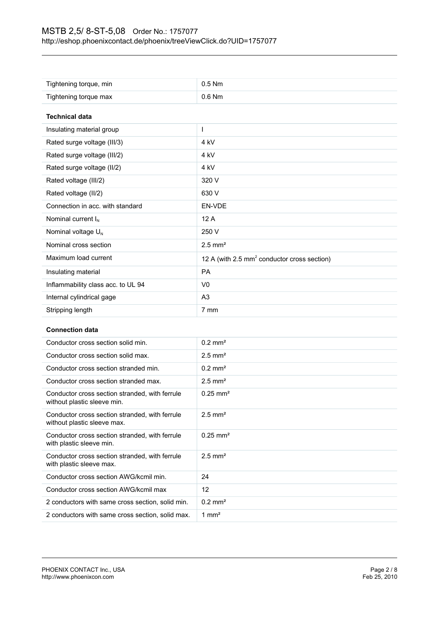| Tightening torque, min             | $0.5$ Nm                                                |
|------------------------------------|---------------------------------------------------------|
| Tightening torque max              | $0.6$ Nm                                                |
|                                    |                                                         |
| <b>Technical data</b>              |                                                         |
| Insulating material group          |                                                         |
| Rated surge voltage (III/3)        | 4 kV                                                    |
| Rated surge voltage (III/2)        | 4 kV                                                    |
| Rated surge voltage (II/2)         | 4 <sub>kV</sub>                                         |
| Rated voltage (III/2)              | 320 V                                                   |
| Rated voltage (II/2)               | 630 V                                                   |
| Connection in acc. with standard   | EN-VDE                                                  |
| Nominal current $I_N$              | 12A                                                     |
| Nominal voltage U <sub>N</sub>     | 250 V                                                   |
| Nominal cross section              | $2.5$ mm <sup>2</sup>                                   |
| Maximum load current               | 12 A (with 2.5 mm <sup>2</sup> conductor cross section) |
| Insulating material                | <b>PA</b>                                               |
| Inflammability class acc. to UL 94 | V <sub>0</sub>                                          |
| Internal cylindrical gage          | A <sub>3</sub>                                          |
| Stripping length                   | 7 mm                                                    |

#### **Connection data**

| Conductor cross section solid min.                                            | $0.2$ mm <sup>2</sup>  |
|-------------------------------------------------------------------------------|------------------------|
| Conductor cross section solid max.                                            | $2.5$ mm <sup>2</sup>  |
| Conductor cross section stranded min.                                         | $0.2$ mm <sup>2</sup>  |
| Conductor cross section stranded max.                                         | $2.5$ mm <sup>2</sup>  |
| Conductor cross section stranded, with ferrule<br>without plastic sleeve min. | $0.25 \text{ mm}^2$    |
| Conductor cross section stranded, with ferrule<br>without plastic sleeve max. | $2.5$ mm <sup>2</sup>  |
| Conductor cross section stranded, with ferrule<br>with plastic sleeve min.    | $0.25$ mm <sup>2</sup> |
| Conductor cross section stranded, with ferrule<br>with plastic sleeve max.    | $2.5$ mm <sup>2</sup>  |
| Conductor cross section AWG/kcmil min.                                        | 24                     |
| Conductor cross section AWG/kcmil max                                         | 12                     |
| 2 conductors with same cross section, solid min.                              | $0.2 \text{ mm}^2$     |
| 2 conductors with same cross section, solid max.                              | $1 \text{ mm}^2$       |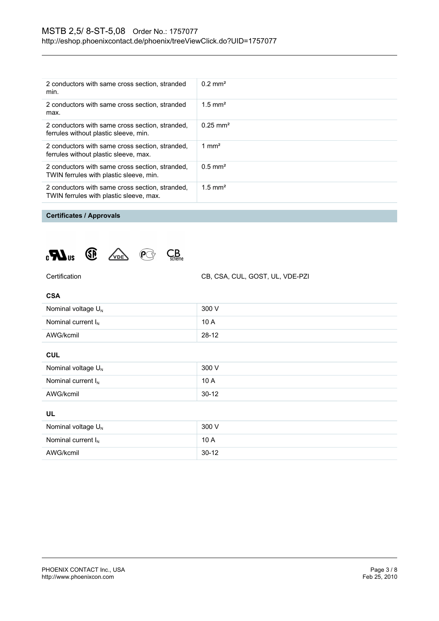| 2 conductors with same cross section, stranded<br>min.                                     | $0.2 \text{ mm}^2$    |
|--------------------------------------------------------------------------------------------|-----------------------|
| 2 conductors with same cross section, stranded<br>max.                                     | $1.5 \text{ mm}^2$    |
| 2 conductors with same cross section, stranded,<br>ferrules without plastic sleeve, min.   | $0.25 \text{ mm}^2$   |
| 2 conductors with same cross section, stranded,<br>ferrules without plastic sleeve, max.   | 1 mm <sup>2</sup>     |
| 2 conductors with same cross section, stranded,<br>TWIN ferrules with plastic sleeve, min. | $0.5$ mm <sup>2</sup> |
| 2 conductors with same cross section, stranded,<br>TWIN ferrules with plastic sleeve, max. | $1.5$ mm <sup>2</sup> |

# **Certificates / Approvals**





Certification CB, CSA, CUL, GOST, UL, VDE-PZI

| Nominal voltage $U_N$   | 300 V   |
|-------------------------|---------|
| Nominal current $I_{N}$ | 10A     |
| AWG/kcmil               | $28-12$ |

#### **CUL**

| Nominal voltage $U_{N}$ | 300 V     |
|-------------------------|-----------|
| Nominal current $I_N$   | 10A       |
| AWG/kcmil               | $30 - 12$ |

# **UL**

| Nominal voltage $U_N$   | 300 V   |
|-------------------------|---------|
| Nominal current $I_{N}$ | 10A     |
| AWG/kcmil               | $30-12$ |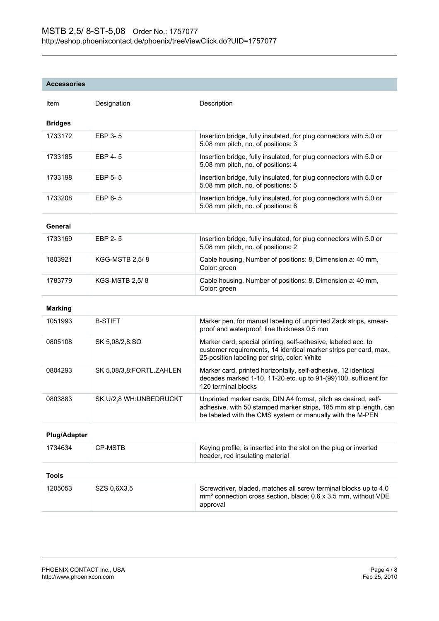### **Accessories**

| Item           | Designation | Description                                                                                              |
|----------------|-------------|----------------------------------------------------------------------------------------------------------|
| <b>Bridges</b> |             |                                                                                                          |
| 1733172        | EBP 3-5     | Insertion bridge, fully insulated, for plug connectors with 5.0 or<br>5.08 mm pitch, no. of positions: 3 |
| 1733185        | EBP 4-5     | Insertion bridge, fully insulated, for plug connectors with 5.0 or<br>5.08 mm pitch, no. of positions: 4 |
| 1733198        | EBP 5-5     | Insertion bridge, fully insulated, for plug connectors with 5.0 or<br>5.08 mm pitch, no. of positions: 5 |
| 1733208        | EBP 6-5     | Insertion bridge, fully insulated, for plug connectors with 5.0 or<br>5.08 mm pitch, no. of positions: 6 |
|                |             |                                                                                                          |

# **General**

| 1733169 | EBP 2-5               | Insertion bridge, fully insulated, for plug connectors with 5.0 or<br>5.08 mm pitch, no. of positions: 2 |
|---------|-----------------------|----------------------------------------------------------------------------------------------------------|
| 1803921 | <b>KGG-MSTB 2,5/8</b> | Cable housing, Number of positions: 8, Dimension a: 40 mm,<br>Color: green                               |
| 1783779 | <b>KGS-MSTB 2.5/8</b> | Cable housing, Number of positions: 8, Dimension a: 40 mm,<br>Color: green                               |

#### **Marking**

| 1051993 | <b>B-STIFT</b>           | Marker pen, for manual labeling of unprinted Zack strips, smear-<br>proof and waterproof, line thickness 0.5 mm                                                                                  |
|---------|--------------------------|--------------------------------------------------------------------------------------------------------------------------------------------------------------------------------------------------|
| 0805108 | SK 5,08/2,8:SO           | Marker card, special printing, self-adhesive, labeled acc. to<br>customer requirements, 14 identical marker strips per card, max.<br>25-position labeling per strip, color: White                |
| 0804293 | SK 5,08/3,8:FORTL.ZAHLEN | Marker card, printed horizontally, self-adhesive, 12 identical<br>decades marked 1-10, 11-20 etc. up to 91-(99)100, sufficient for<br>120 terminal blocks                                        |
| 0803883 | SK U/2.8 WH: UNBEDRUCKT  | Unprinted marker cards, DIN A4 format, pitch as desired, self-<br>adhesive, with 50 stamped marker strips, 185 mm strip length, can<br>be labeled with the CMS system or manually with the M-PEN |

## **Plug/Adapter**

| 1734634 | CP-MSTB     | Keying profile, is inserted into the slot on the plug or inverted<br>header, red insulating material                                                       |
|---------|-------------|------------------------------------------------------------------------------------------------------------------------------------------------------------|
| Tools   |             |                                                                                                                                                            |
| 1205053 | SZS 0.6X3.5 | Screwdriver, bladed, matches all screw terminal blocks up to 4.0<br>mm <sup>2</sup> connection cross section, blade: 0.6 x 3.5 mm, without VDE<br>approval |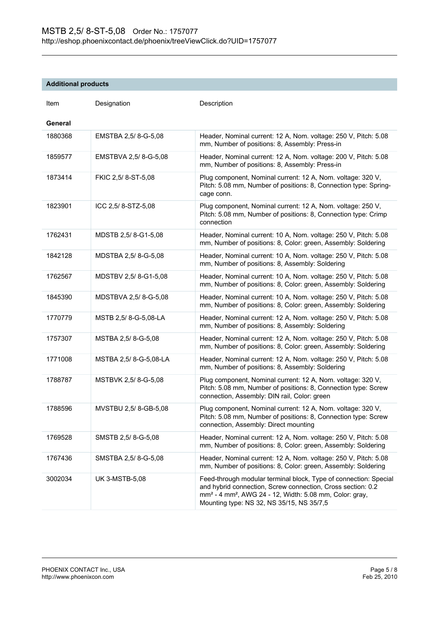# **Additional products**

| Item    | Designation           | Description                                                                                                                                                                                                                                                     |
|---------|-----------------------|-----------------------------------------------------------------------------------------------------------------------------------------------------------------------------------------------------------------------------------------------------------------|
| General |                       |                                                                                                                                                                                                                                                                 |
| 1880368 | EMSTBA 2,5/8--5,08    | Header, Nominal current: 12 A, Nom. voltage: 250 V, Pitch: 5.08<br>mm, Number of positions: 8, Assembly: Press-in                                                                                                                                               |
| 1859577 | EMSTBVA 2,5/8--5,08   | Header, Nominal current: 12 A, Nom. voltage: 200 V, Pitch: 5.08<br>mm, Number of positions: 8, Assembly: Press-in                                                                                                                                               |
| 1873414 | FKIC 2,5/8-ST-5,08    | Plug component, Nominal current: 12 A, Nom. voltage: 320 V,<br>Pitch: 5.08 mm, Number of positions: 8, Connection type: Spring-<br>cage conn.                                                                                                                   |
| 1823901 | ICC 2,5/8-STZ-5,08    | Plug component, Nominal current: 12 A, Nom. voltage: 250 V,<br>Pitch: 5.08 mm, Number of positions: 8, Connection type: Crimp<br>connection                                                                                                                     |
| 1762431 | MDSTB 2,5/8-G1-5,08   | Header, Nominal current: 10 A, Nom. voltage: 250 V, Pitch: 5.08<br>mm, Number of positions: 8, Color: green, Assembly: Soldering                                                                                                                                |
| 1842128 | MDSTBA 2,5/8--5,08    | Header, Nominal current: 10 A, Nom. voltage: 250 V, Pitch: 5.08<br>mm, Number of positions: 8, Assembly: Soldering                                                                                                                                              |
| 1762567 | MDSTBV 2,5/8-G1-5,08  | Header, Nominal current: 10 A, Nom. voltage: 250 V, Pitch: 5.08<br>mm, Number of positions: 8, Color: green, Assembly: Soldering                                                                                                                                |
| 1845390 | MDSTBVA 2,5/8-G-5,08  | Header, Nominal current: 10 A, Nom. voltage: 250 V, Pitch: 5.08<br>mm, Number of positions: 8, Color: green, Assembly: Soldering                                                                                                                                |
| 1770779 | MSTB 2,5/8--5,08-LA   | Header, Nominal current: 12 A, Nom. voltage: 250 V, Pitch: 5.08<br>mm, Number of positions: 8, Assembly: Soldering                                                                                                                                              |
| 1757307 | MSTBA 2,5/8--5,08     | Header, Nominal current: 12 A, Nom. voltage: 250 V, Pitch: 5.08<br>mm, Number of positions: 8, Color: green, Assembly: Soldering                                                                                                                                |
| 1771008 | MSTBA 2,5/8--5,08-LA  | Header, Nominal current: 12 A, Nom. voltage: 250 V, Pitch: 5.08<br>mm, Number of positions: 8, Assembly: Soldering                                                                                                                                              |
| 1788787 | MSTBVK 2,5/8--5,08    | Plug component, Nominal current: 12 A, Nom. voltage: 320 V,<br>Pitch: 5.08 mm, Number of positions: 8, Connection type: Screw<br>connection, Assembly: DIN rail, Color: green                                                                                   |
| 1788596 | MVSTBU 2,5/8-GB-5,08  | Plug component, Nominal current: 12 A, Nom. voltage: 320 V,<br>Pitch: 5.08 mm, Number of positions: 8, Connection type: Screw<br>connection, Assembly: Direct mounting                                                                                          |
| 1769528 | SMSTB 2,5/8--5,08     | Header, Nominal current: 12 A, Nom. voltage: 250 V, Pitch: 5.08<br>mm, Number of positions: 8, Color: green, Assembly: Soldering                                                                                                                                |
| 1767436 | SMSTBA 2,5/8--55,08   | Header, Nominal current: 12 A, Nom. voltage: 250 V, Pitch: 5.08<br>mm, Number of positions: 8, Color: green, Assembly: Soldering                                                                                                                                |
| 3002034 | <b>UK 3-MSTB-5,08</b> | Feed-through modular terminal block, Type of connection: Special<br>and hybrid connection, Screw connection, Cross section: 0.2<br>mm <sup>2</sup> - 4 mm <sup>2</sup> , AWG 24 - 12, Width: 5.08 mm, Color: gray,<br>Mounting type: NS 32, NS 35/15, NS 35/7,5 |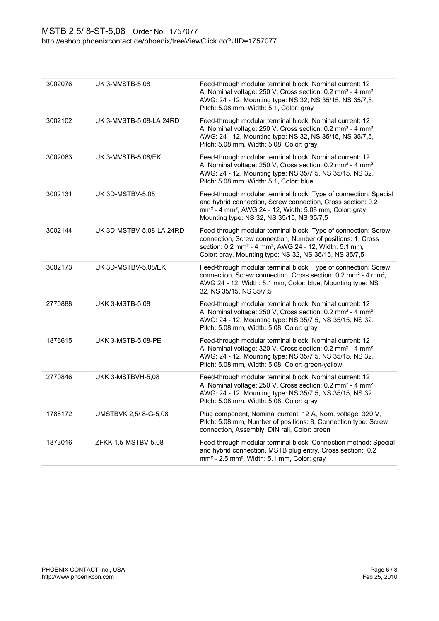| 3002076 | <b>UK 3-MVSTB-5,08</b>   | Feed-through modular terminal block, Nominal current: 12<br>A, Nominal voltage: 250 V, Cross section: 0.2 mm <sup>2</sup> - 4 mm <sup>2</sup> ,<br>AWG: 24 - 12, Mounting type: NS 32, NS 35/15, NS 35/7,5,<br>Pitch: 5.08 mm, Width: 5.1, Color: gray                    |
|---------|--------------------------|---------------------------------------------------------------------------------------------------------------------------------------------------------------------------------------------------------------------------------------------------------------------------|
| 3002102 | UK 3-MVSTB-5,08-LA 24RD  | Feed-through modular terminal block, Nominal current: 12<br>A, Nominal voltage: 250 V, Cross section: 0.2 mm <sup>2</sup> - 4 mm <sup>2</sup> ,<br>AWG: 24 - 12, Mounting type: NS 32, NS 35/15, NS 35/7,5,<br>Pitch: 5.08 mm, Width: 5.08, Color: gray                   |
| 3002063 | UK 3-MVSTB-5,08/EK       | Feed-through modular terminal block, Nominal current: 12<br>A, Nominal voltage: 250 V, Cross section: 0.2 mm <sup>2</sup> - 4 mm <sup>2</sup> ,<br>AWG: 24 - 12, Mounting type: NS 35/7,5, NS 35/15, NS 32,<br>Pitch: 5.08 mm, Width: 5.1, Color: blue                    |
| 3002131 | UK 3D-MSTBV-5,08         | Feed-through modular terminal block, Type of connection: Special<br>and hybrid connection, Screw connection, Cross section: 0.2<br>mm <sup>2</sup> - 4 mm <sup>2</sup> , AWG 24 - 12, Width: 5.08 mm, Color: gray,<br>Mounting type: NS 32, NS 35/15, NS 35/7,5           |
| 3002144 | UK 3D-MSTBV-5,08-LA 24RD | Feed-through modular terminal block, Type of connection: Screw<br>connection, Screw connection, Number of positions: 1, Cross<br>section: 0.2 mm <sup>2</sup> - 4 mm <sup>2</sup> , AWG 24 - 12, Width: 5.1 mm,<br>Color: gray, Mounting type: NS 32, NS 35/15, NS 35/7,5 |
| 3002173 | UK 3D-MSTBV-5,08/EK      | Feed-through modular terminal block, Type of connection: Screw<br>connection, Screw connection, Cross section: 0.2 mm <sup>2</sup> - 4 mm <sup>2</sup> ,<br>AWG 24 - 12, Width: 5.1 mm, Color: blue, Mounting type: NS<br>32, NS 35/15, NS 35/7,5                         |
| 2770888 | <b>UKK 3-MSTB-5,08</b>   | Feed-through modular terminal block, Nominal current: 12<br>A, Nominal voltage: 250 V, Cross section: 0.2 mm <sup>2</sup> - 4 mm <sup>2</sup> ,<br>AWG: 24 - 12, Mounting type: NS 35/7,5, NS 35/15, NS 32,<br>Pitch: 5.08 mm, Width: 5.08, Color: gray                   |
| 1876615 | UKK 3-MSTB-5,08-PE       | Feed-through modular terminal block, Nominal current: 12<br>A, Nominal voltage: 320 V, Cross section: 0.2 mm <sup>2</sup> - 4 mm <sup>2</sup> ,<br>AWG: 24 - 12, Mounting type: NS 35/7,5, NS 35/15, NS 32,<br>Pitch: 5.08 mm, Width: 5.08, Color: green-yellow           |
| 2770846 | UKK 3-MSTBVH-5,08        | Feed-through modular terminal block, Nominal current: 12<br>A, Nominal voltage: 250 V, Cross section: 0.2 mm <sup>2</sup> - 4 mm <sup>2</sup> ,<br>AWG: 24 - 12, Mounting type: NS 35/7,5, NS 35/15, NS 32,<br>Pitch: 5.08 mm, Width: 5.08, Color: gray                   |
| 1788172 | UMSTBVK 2,5/8--5,08      | Plug component, Nominal current: 12 A, Nom. voltage: 320 V,<br>Pitch: 5.08 mm, Number of positions: 8, Connection type: Screw<br>connection, Assembly: DIN rail, Color: green                                                                                             |
| 1873016 | ZFKK 1,5-MSTBV-5,08      | Feed-through modular terminal block, Connection method: Special<br>and hybrid connection, MSTB plug entry, Cross section: 0.2<br>mm <sup>2</sup> - 2.5 mm <sup>2</sup> , Width: 5.1 mm, Color: gray                                                                       |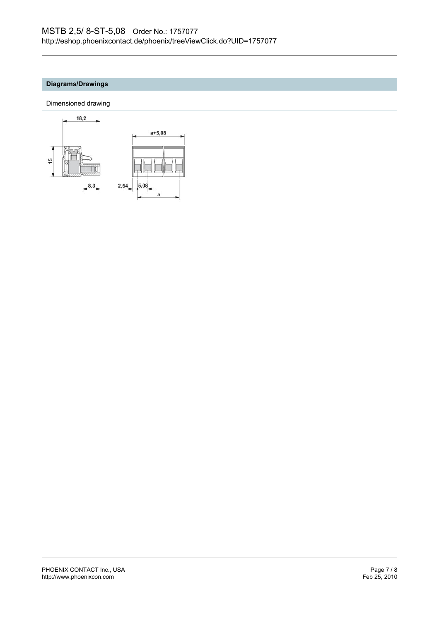# **Diagrams/Drawings**

Dimensioned drawing